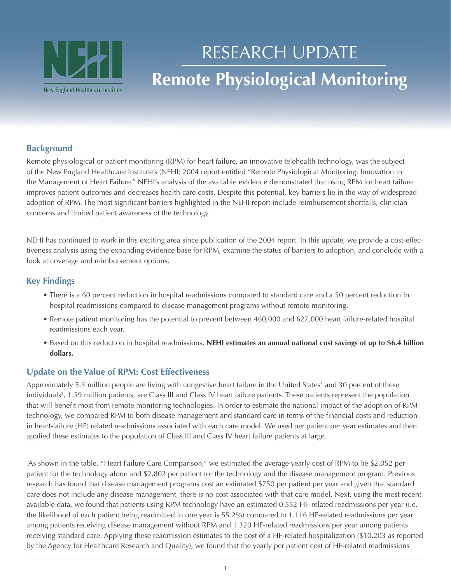

# **Remote Physiological Monitoring** RESEARCH UPDATE

# **Background**

Remote physiological or patient monitoring (RPM) for heart failure, an innovative telehealth technology, was the subject of the New England Healthcare Institute's (NEHI) 2004 report entitled "Remote Physiological Monitoring: Innovation in the Management of Heart Failure." NEHI's analysis of the available evidence demonstrated that using RPM for heart failure improves patient outcomes and decreases health care costs. Despite this potential, key barriers lie in the way of widespread adoption of RPM. The most significant barriers highlighted in the NEHI report include reimbursement shortfalls, clinician concerns and limited patient awareness of the technology.

NEHI has continued to work in this exciting area since publication of the 2004 report. In this update, we provide a cost-effectiveness analysis using the expanding evidence base for RPM, examine the status of barriers to adoption, and conclude with a look at coverage and reimbursement options.

## **Key Findings**

- There is a 60 percent reduction in hospital readmissions compared to standard care and a 50 percent reduction in hospital readmissions compared to disease management programs without remote monitoring.
- • Remote patient monitoring has the potential to prevent between 460,000 and 627,000 heart failure-related hospital readmissions each year.
- • Based on this reduction in hospital readmissions, **NEHI estimates an annual national cost savings of up to \$6.4 billion dollars.**

### **Update on the Value of RPM: Cost Effectiveness**

Approximately 5.3 million people are living with congestive heart failure in the United States<sup>1</sup> and 30 percent of these individuals<sup>2</sup>, 1.59 million patients, are Class III and Class IV heart failure patients. These patients represent the population that will benefit most from remote monitoring technologies. In order to estimate the national impact of the adoption of RPM technology, we compared RPM to both disease management and standard care in terms of the financial costs and reduction in heart-failure (HF) related readmissions associated with each care model. We used per patient per year estimates and then applied these estimates to the population of Class III and Class IV heart failure patients at large.

 As shown in the table, "Heart Failure Care Comparison," we estimated the average yearly cost of RPM to be \$2,052 per patient for the technology alone and \$2,802 per patient for the technology and the disease management program. Previous research has found that disease management programs cost an estimated \$750 per patient per year and given that standard care does not include any disease management, there is no cost associated with that care model. Next, using the most recent available data, we found that patients using RPM technology have an estimated 0.552 HF-related readmissions per year (i.e. the likelihood of each patient being readmitted in one year is 55.2%) compared to 1.116 HF-related readmissions per year among patients receiving disease management without RPM and 1.320 HF-related readmissions per year among patients receiving standard care. Applying these readmission estimates to the cost of a HF-related hospitalization (\$10,203 as reported by the Agency for Healthcare Research and Quality), we found that the yearly per patient cost of HF-related readmissions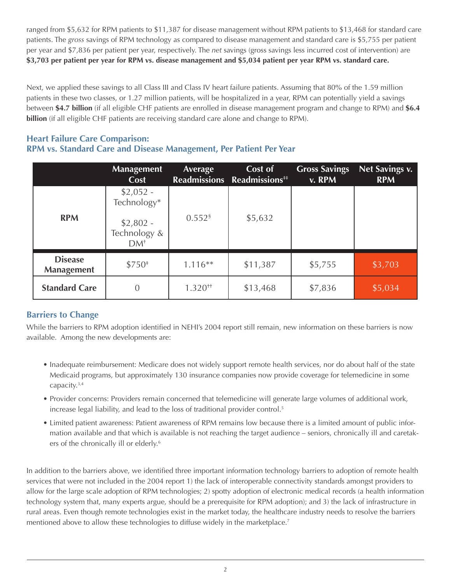ranged from \$5,632 for RPM patients to \$11,387 for disease management without RPM patients to \$13,468 for standard care patients. The *gross* savings of RPM technology as compared to disease management and standard care is \$5,755 per patient per year and \$7,836 per patient per year, respectively. The *net* savings (gross savings less incurred cost of intervention) are **\$3,703 per patient per year for RPM vs. disease management and \$5,034 patient per year RPM vs. standard care.**

Next, we applied these savings to all Class III and Class IV heart failure patients. Assuming that 80% of the 1.59 million patients in these two classes, or 1.27 million patients, will be hospitalized in a year, RPM can potentially yield a savings between **\$4.7 billion** (if all eligible CHF patients are enrolled in disease management program and change to RPM) and **\$6.4 billion** (if all eligible CHF patients are receiving standard care alone and change to RPM).

## **Heart Failure Care Comparison: RPM vs. Standard Care and Disease Management, Per Patient Per Year**

|                                     | <b>Management</b><br>Cost                                        | Average              | Cost of<br>Readmissions Readmissions <sup>##</sup> | <b>Gross Savings</b><br>v. RPM | <b>Net Savings v.</b><br><b>RPM</b> |
|-------------------------------------|------------------------------------------------------------------|----------------------|----------------------------------------------------|--------------------------------|-------------------------------------|
| <b>RPM</b>                          | $$2,052 -$<br>Technology*<br>$$2,802 -$<br>Technology &<br>$DM+$ | $0.552$ <sup>§</sup> | \$5,632                                            |                                |                                     |
| <b>Disease</b><br><b>Management</b> | $$750*$                                                          | $1.116**$            | \$11,387                                           | \$5,755                        | \$3,703                             |
| <b>Standard Care</b>                | 0                                                                | $1.320^{+1}$         | \$13,468                                           | \$7,836                        | \$5,034                             |

# **Barriers to Change**

While the barriers to RPM adoption identified in NEHI's 2004 report still remain, new information on these barriers is now available. Among the new developments are:

- • Inadequate reimbursement: Medicare does not widely support remote health services, nor do about half of the state Medicaid programs, but approximately 130 insurance companies now provide coverage for telemedicine in some capacity.3,4
- • Provider concerns: Providers remain concerned that telemedicine will generate large volumes of additional work, increase legal liability, and lead to the loss of traditional provider control.<sup>5</sup>
- Limited patient awareness: Patient awareness of RPM remains low because there is a limited amount of public information available and that which is available is not reaching the target audience – seniors, chronically ill and caretakers of the chronically ill or elderly.<sup>6</sup>

In addition to the barriers above, we identified three important information technology barriers to adoption of remote health services that were not included in the 2004 report 1) the lack of interoperable connectivity standards amongst providers to allow for the large scale adoption of RPM technologies; 2) spotty adoption of electronic medical records (a health information technology system that, many experts argue, should be a prerequisite for RPM adoption); and 3) the lack of infrastructure in rural areas. Even though remote technologies exist in the market today, the healthcare industry needs to resolve the barriers mentioned above to allow these technologies to diffuse widely in the marketplace.<sup>7</sup>